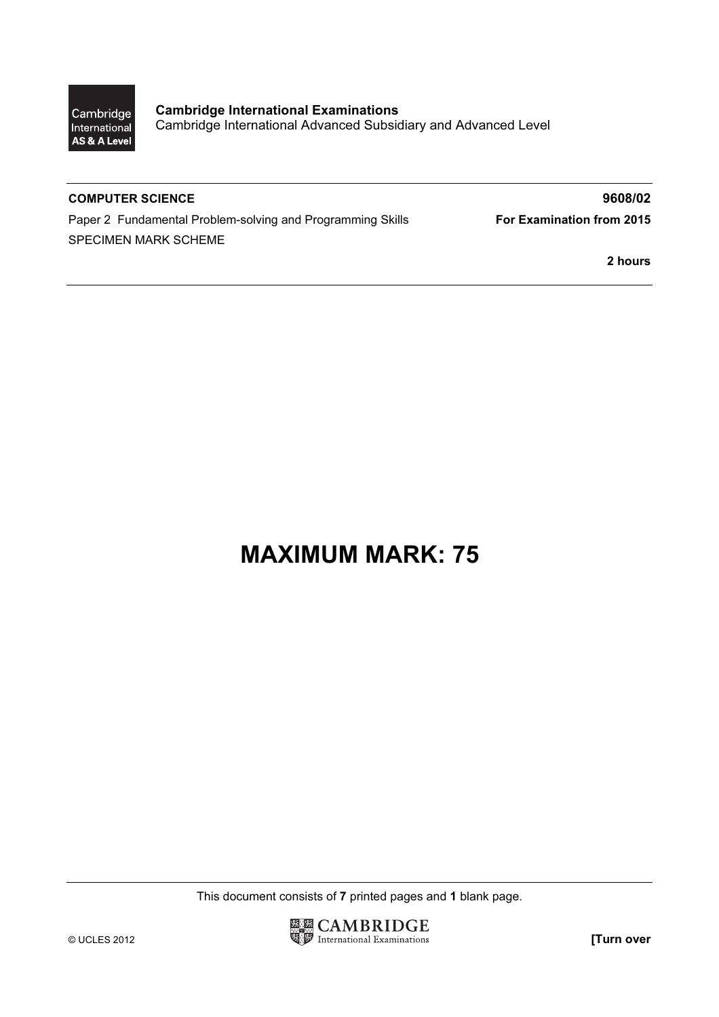

Cambridge International Examinations Cambridge International Advanced Subsidiary and Advanced Level

Paper 2 Fundamental Problem-solving and Programming Skills **For Examination from 2015** SPECIMEN MARK SCHEME

COMPUTER SCIENCE 3608/02

2 hours

## MAXIMUM MARK: 75

This document consists of 7 printed pages and 1 blank page.

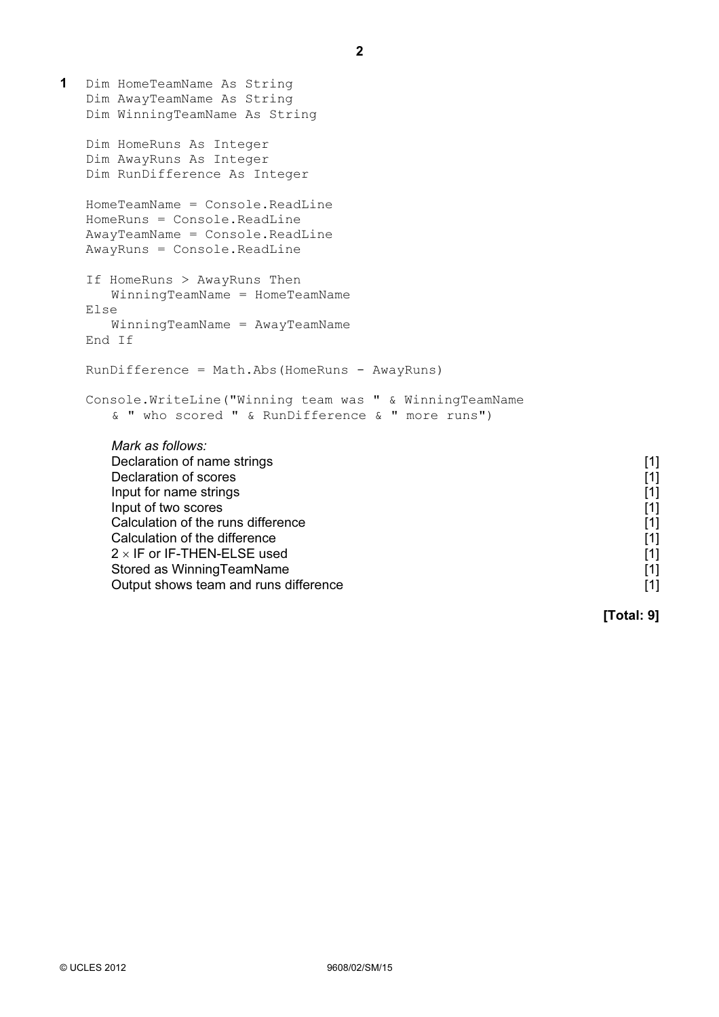1 Dim HomeTeamName As String Dim AwayTeamName As String Dim WinningTeamName As String Dim HomeRuns As Integer Dim AwayRuns As Integer Dim RunDifference As Integer HomeTeamName = Console.ReadLine HomeRuns = Console.ReadLine AwayTeamName = Console.ReadLine AwayRuns = Console.ReadLine If HomeRuns > AwayRuns Then WinningTeamName = HomeTeamName Else WinningTeamName = AwayTeamName End If RunDifference = Math.Abs(HomeRuns - AwayRuns) Console.WriteLine("Winning team was " & WinningTeamName & " who scored " & RunDifference & " more runs") Mark as follows: Declaration of name strings [1] Declaration of scores [1] [1] **Declaration of scores** [1] Input for name strings [1] Input of two scores [1] Calculation of the runs difference [1] Calculation of the difference [1]  $2 \times$  IF or IF-THEN-ELSE used [1] Stored as WinningTeamName **[1] Stored as WinningTeamName [1]** Output shows team and runs difference **[1]**  $\begin{bmatrix} 1 \end{bmatrix}$ 

[Total: 9]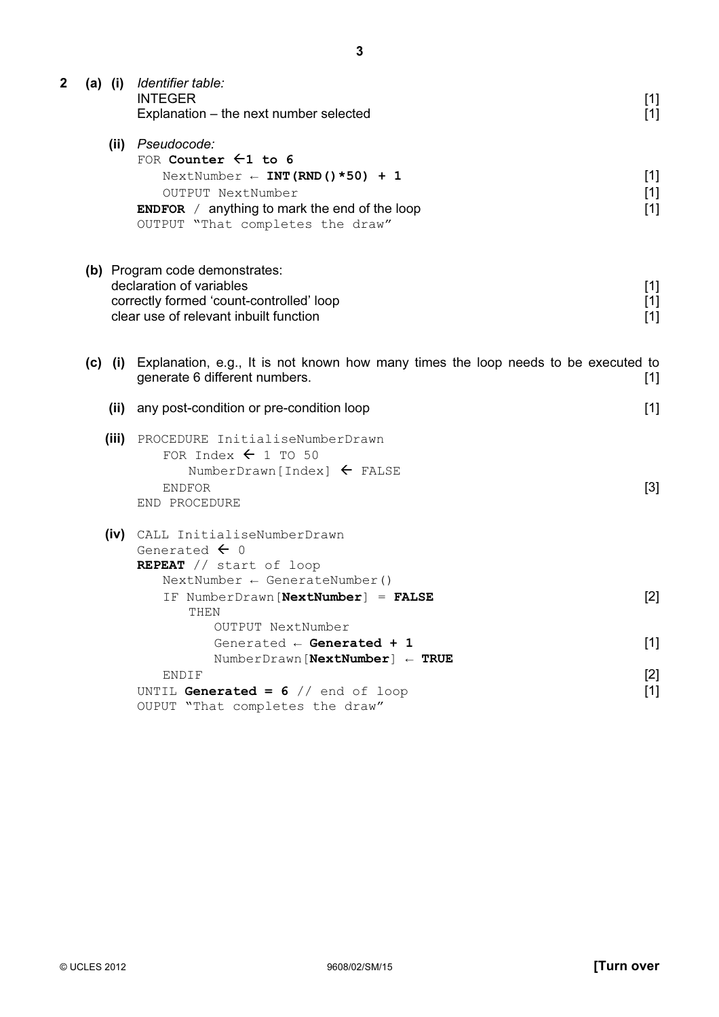| 2 |                                                                                                                                                                             | (a) (i) Identifier table:<br><b>INTEGER</b><br>Explanation – the next number selected                                                                                                                                | $[1]$<br>$[1]$          |
|---|-----------------------------------------------------------------------------------------------------------------------------------------------------------------------------|----------------------------------------------------------------------------------------------------------------------------------------------------------------------------------------------------------------------|-------------------------|
|   |                                                                                                                                                                             | (ii) Pseudocode:<br>FOR Counter $\leftarrow$ 1 to 6<br>NextNumber $\leftarrow$ INT (RND () *50) + 1<br>OUTPUT NextNumber<br><b>ENDFOR</b> / anything to mark the end of the loop<br>OUTPUT "That completes the draw" | $[1]$<br>$[1]$<br>$[1]$ |
|   | (b) Program code demonstrates:<br>declaration of variables<br>$[1]$<br>correctly formed 'count-controlled' loop<br>$[1]$<br>clear use of relevant inbuilt function<br>$[1]$ |                                                                                                                                                                                                                      |                         |
|   |                                                                                                                                                                             | (c) (i) Explanation, e.g., It is not known how many times the loop needs to be executed to<br>generate 6 different numbers.                                                                                          | $[1]$                   |
|   |                                                                                                                                                                             | (ii) any post-condition or pre-condition loop                                                                                                                                                                        | $[1]$                   |
|   |                                                                                                                                                                             | (iii) PROCEDURE InitialiseNumberDrawn<br>FOR Index $\leftarrow$ 1 TO 50<br>NumberDrawn [Index] $\leftarrow$ FALSE<br>ENDFOR<br>END PROCEDURE                                                                         | $[3]$                   |
|   |                                                                                                                                                                             | (iv) CALL InitialiseNumberDrawn<br>Generated $\leftarrow$ 0<br>REPEAT // start of loop                                                                                                                               |                         |
|   |                                                                                                                                                                             | $NextNumber \leftarrow GenerateNumber()$<br>IF NumberDrawn [NextNumber] = FALSE<br>THEN                                                                                                                              | $[2]$                   |
|   |                                                                                                                                                                             | OUTPUT NextNumber<br>Generated $\leftarrow$ Generated + 1<br>$NumberDrawn[NextNumber] \leftarrow TRUE$                                                                                                               | $[1]$                   |
|   |                                                                                                                                                                             | ENDIF<br>UNTIL Generated = $6$ // end of loop<br>OUPUT "That completes the draw"                                                                                                                                     | $[2]$<br>$[1]$          |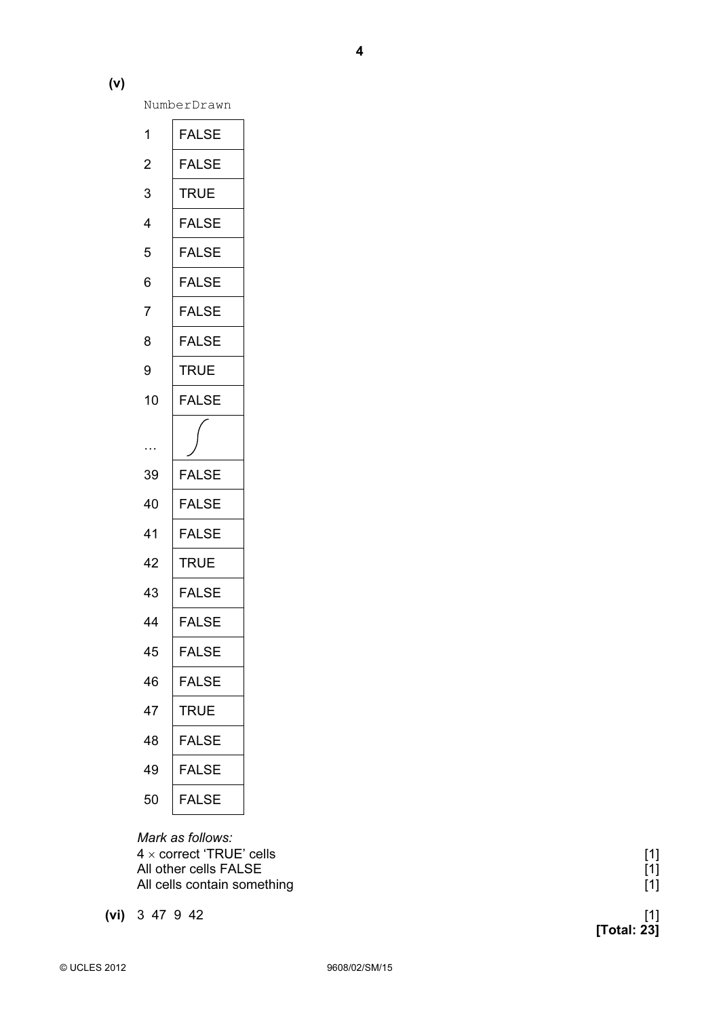NumberDrawn

| 1              | FALSE        |
|----------------|--------------|
| $\overline{c}$ | <b>FALSE</b> |
| 3              | <b>TRUE</b>  |
| 4              | <b>FALSE</b> |
| 5              | <b>FALSE</b> |
| 6              | <b>FALSE</b> |
| $\overline{7}$ | <b>FALSE</b> |
| 8              | <b>FALSE</b> |
| 9              | <b>TRUE</b>  |
| 10             | <b>FALSE</b> |
|                |              |
|                |              |
| 39             | <b>FALSE</b> |
| 40             | <b>FALSE</b> |
| 41             | <b>FALSE</b> |
| 42             | TRUE         |
| 43             | <b>FALSE</b> |
| 44             | <b>FALSE</b> |
| 45             | <b>FALSE</b> |
| 46             | <b>FALSE</b> |
| 47             | <b>TRUE</b>  |
| 48             | <b>FALSE</b> |
| 49             | <b>FALSE</b> |
|                |              |

 Mark as follows:  $4 \times$  correct 'TRUE' cells [1] All other cells FALSE All cells contain something

 $(vi)$  3 47 9 42

|             | [1]<br>[1] |
|-------------|------------|
| [Total: 23] | [1]        |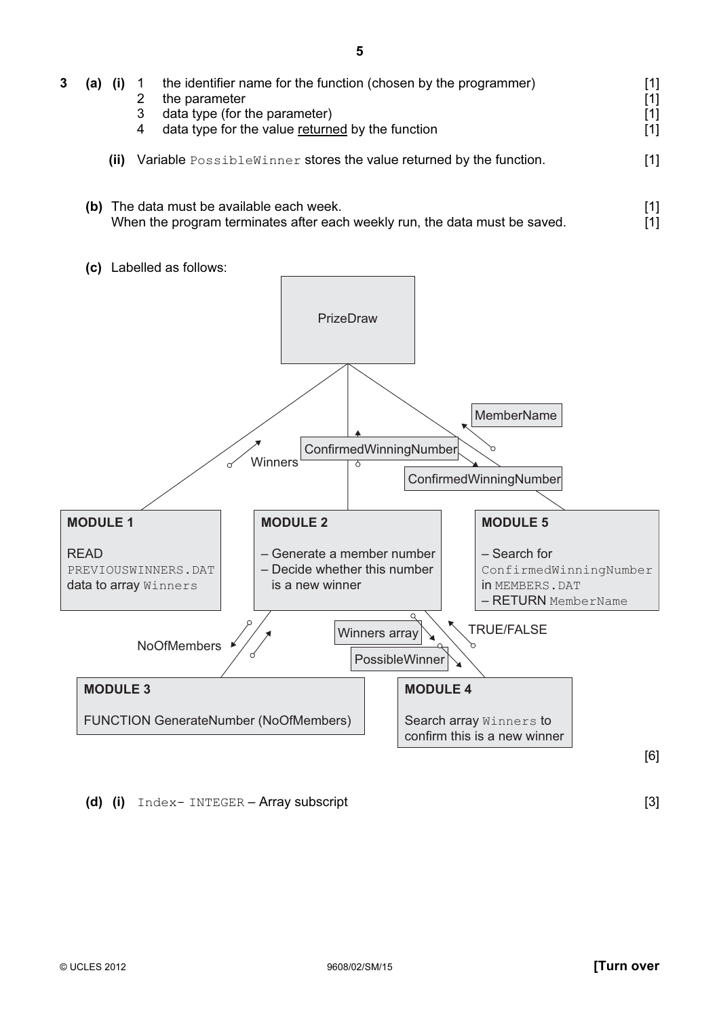| 3 | (a)                                                                                                                     |      | 2<br>3<br>4 | the identifier name for the function (chosen by the programmer)<br>the parameter<br>data type (for the parameter)<br>data type for the value returned by the function | [1] |
|---|-------------------------------------------------------------------------------------------------------------------------|------|-------------|-----------------------------------------------------------------------------------------------------------------------------------------------------------------------|-----|
|   |                                                                                                                         | (ii) |             | Variable PossibleWinner stores the value returned by the function.                                                                                                    |     |
|   | (b) The data must be available each week.<br>When the program terminates after each weekly run, the data must be saved. |      |             |                                                                                                                                                                       |     |





## (d) (i)  $Index-INTER - Array subscript$  [3]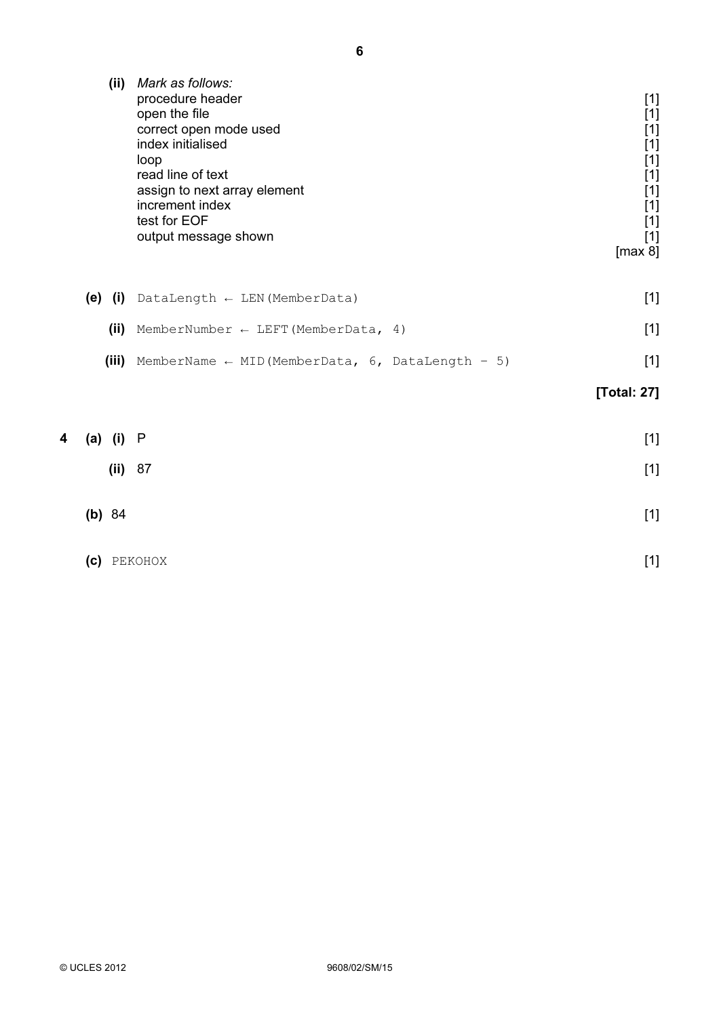| (ii)    | Mark as follows:<br>procedure header<br>open the file<br>correct open mode used<br>index initialised<br>loop<br>read line of text<br>assign to next array element<br>increment index<br>test for EOF<br>output message shown | $[1]$<br>$[1]$<br>$[1]$<br>$[1]$<br>$[1]$<br>$[1]$<br>$[1]$<br>$[1]$<br>$[1]$<br>$[1]$<br>[max 8] |
|---------|------------------------------------------------------------------------------------------------------------------------------------------------------------------------------------------------------------------------------|---------------------------------------------------------------------------------------------------|
| (e) (i) | DataLength $\leftarrow$ LEN (MemberData)                                                                                                                                                                                     | $[1]$                                                                                             |
| (ii)    | MemberNumber $\leftarrow$ LEFT (MemberData, 4)                                                                                                                                                                               | $[1]$                                                                                             |
| (iii)   | MemberName $\leftarrow$ MID (MemberData, 6, DataLength - 5)                                                                                                                                                                  | $[1]$                                                                                             |
|         |                                                                                                                                                                                                                              | [Total: 27]                                                                                       |

| 4 (a) (i) P    | $[1]$ |
|----------------|-------|
| (ii) 87        | $[1]$ |
| (b) 84         | $[1]$ |
| PEKOHOX<br>(c) | $[1]$ |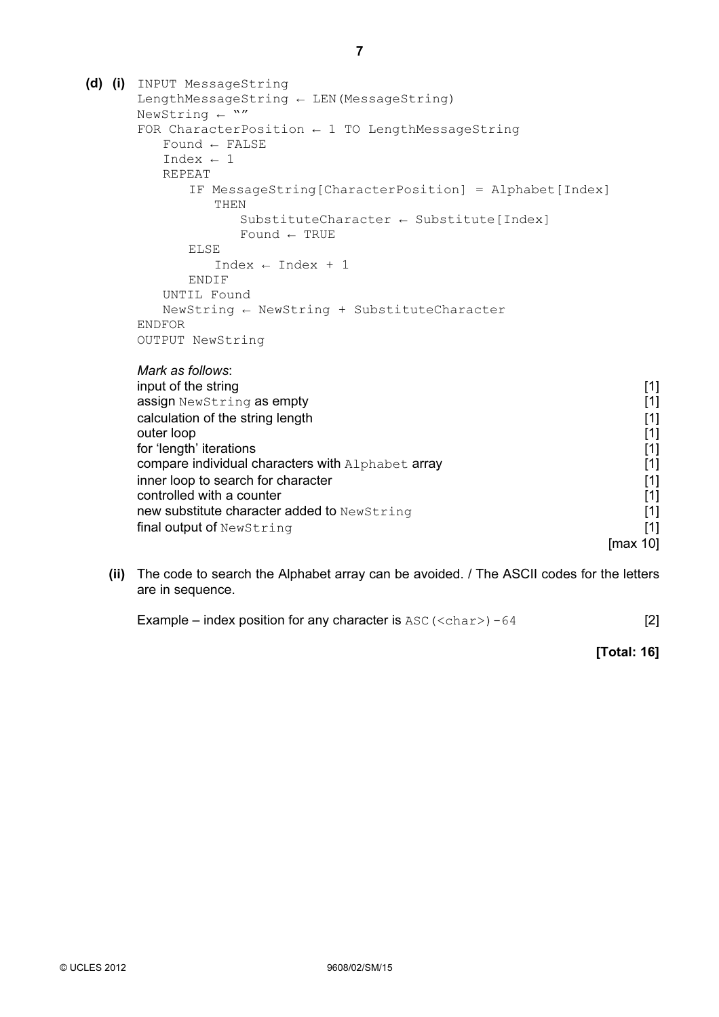| (d) (i)<br>INPUT MessageString                                |       |
|---------------------------------------------------------------|-------|
| LengthMessageString $\leftarrow$ LEN (MessageString)          |       |
| NewString $\leftarrow$ ""                                     |       |
| FOR CharacterPosition $\leftarrow$ 1 TO LengthMessageString   |       |
| Found $\leftarrow$ FALSE                                      |       |
| Index $\leftarrow$ 1                                          |       |
| <b>REPEAT</b>                                                 |       |
| IF MessageString[CharacterPosition] = Alphabet[Index]<br>THEN |       |
| SubstituteCharacter $\leftarrow$ Substitute[Index]            |       |
| Found $\leftarrow$ TRUE                                       |       |
| <b>ELSE</b>                                                   |       |
| $Index \leftarrow Index + 1$                                  |       |
| ENDIF                                                         |       |
| UNTIL Found                                                   |       |
| NewString $\leftarrow$ NewString + SubstituteCharacter        |       |
| <b>ENDFOR</b>                                                 |       |
| OUTPUT NewString                                              |       |
| Mark as follows:                                              |       |
| input of the string                                           | $[1]$ |
| assign NewString as empty                                     | $[1]$ |
| calculation of the string length                              | $[1]$ |
| outer loop                                                    | $[1]$ |
| for 'length' iterations                                       | $[1]$ |
| compare individual characters with Alphabet array             | $[1]$ |
| inner loop to search for character                            | $[1]$ |
| controlled with a counter                                     | $[1]$ |
| new substitute character added to NewString                   | $[1]$ |
|                                                               |       |

 (ii) The code to search the Alphabet array can be avoided. / The ASCII codes for the letters are in sequence.

 $[\max 10]$ 

Example – index position for any character is  $\text{ASC}(\text{ – 64 [2]$ 

final output of NewString [1] [1]

[Total: 16]